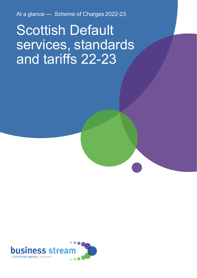At a glance — Scheme of Charges 2022-23

# Scottish Default services, standards and tariffs 22-23

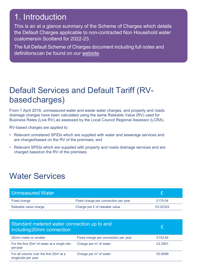## 1. Introduction

This is an at a glance summary of the Scheme of Charges which details the Default Charges applicable to non-contracted Non Household water customersin Scotland for 2022-23.

The full Default Scheme of Charges document including full notes and definitionscan be found on our [website.](https://d293gcbh7q7l5y.cloudfront.net/images/uploads/general/2022-23_Default_Directions___FINAL.pdf)

#### Default Services and Default Tariff (RVbasedcharges)

From 1 April 2018, unmeasured water and waste water charges, and property and roads drainage charges have been calculated using the same Rateable Value (RV) used for Business Rates (Live RV), as assessed by the Local Council Regional Assessor (LCRA).

RV-based charges are applied to:

- Relevant unmetered SPIDs which are supplied with water and sewerage services and are chargedbased on the RV of the premises; and
- Relevant SPIDs which are supplied with property and roads drainage services and are charged basedon the RV of the premises.

### Water Services

| Unmeasured Water      |                                      |          |
|-----------------------|--------------------------------------|----------|
| <b>Fixed charge</b>   | Fixed charge per connection per year | £179.04  |
| Rateable value charge | Charge per £ of rateable value       | £0.02324 |

| Standard metered water connection up to and<br>including 20mm connection   |                                      |         |
|----------------------------------------------------------------------------|--------------------------------------|---------|
| 20mm meter or smaller                                                      | Fixed charge per connection per year | £152.64 |
| For the first $25m3$ of water at a single site<br>peryear                  | Charge per $m3$ of water             | £2.2901 |
| For all volume over the first 25m <sup>3</sup> at a<br>singlesite per year | Charge per $m3$ of water             | £0.8589 |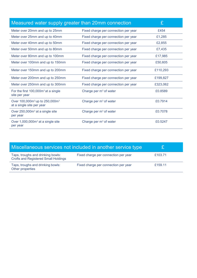| Measured water supply greater than 20mm connection                 |                                      | £        |
|--------------------------------------------------------------------|--------------------------------------|----------|
| Meter over 20mm and up to 25mm                                     | Fixed charge per connection per year | £454     |
| Meter over 25mm and up to 40mm                                     | Fixed charge per connection per year | £1,285   |
| Meter over 40mm and up to 50mm                                     | Fixed charge per connection per year | £2,855   |
| Meter over 50mm and up to 80mm                                     | Fixed charge per connection per year | £7,435   |
| Meter over 80mm and up to 100mm                                    | Fixed charge per connection per year | £17,985  |
| Meter over 100mm and up to 150mm                                   | Fixed charge per connection per year | £50,605  |
| Meter over 150mm and up to 200mm                                   | Fixed charge per connection per year | £110,293 |
| Meter over 200mm and up to 250mm                                   | Fixed charge per connection per year | £199,827 |
| Meter over 250mm and up to 300mm                                   | Fixed charge per connection per year | £323,062 |
| For the first $100,000m^3$ at a single<br>site per year            | Charge per $m3$ of water             | £0.8589  |
| Over $100,000m^3$ up to 250,000 $m^3$<br>at a single site per year | Charge per $m3$ of water             | £0.7914  |
| Over 250,000m <sup>3</sup> at a single site<br>per year            | Charge per $m3$ of water             | £0.7078  |
| Over $1,000,000m^3$ at a single site<br>per year                   | Charge per $m3$ of water             | £0.5247  |

| Miscellaneous services not included in another service type                      |                                      |         |
|----------------------------------------------------------------------------------|--------------------------------------|---------|
| Taps, troughs and drinking bowls:<br><b>Crofts and Registered Small Holdings</b> | Fixed charge per connection per year | £103.71 |
| Taps, troughs and drinking bowls:<br>Other properties                            | Fixed charge per connection per year | £159.11 |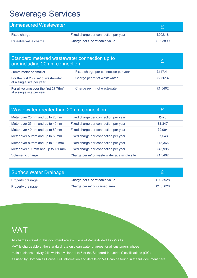### Sewerage Services

| <b>Unmeasured Wastewater</b> |                                      |          |
|------------------------------|--------------------------------------|----------|
| Fixed charge                 | Fixed charge per connection per year | £202.18  |
| Rateable value charge        | Charge per £ of rateable value       | £0.03899 |

| Standard metered wastewater connection up to<br>and including 20mm connection |                                      |         |
|-------------------------------------------------------------------------------|--------------------------------------|---------|
| 20mm meter or smaller                                                         | Fixed charge per connection per year | £147.41 |
| For the first $23.75m3$ of wastewater<br>at a single site per year            | Charge per $m3$ of wastewater        | £2.5614 |
| For all volume over the first $23.75m3$<br>at a single site per year          | Charge per $m3$ of wastewater        | £1.5402 |

| Wastewater greater than 20mm connection |                                                           |         |
|-----------------------------------------|-----------------------------------------------------------|---------|
| Meter over 20mm and up to 25mm          | Fixed charge per connection per year                      | £475    |
| Meter over 25mm and up to 40mm          | Fixed charge per connection per year                      | £1,347  |
| Meter over 40mm and up to 50mm          | Fixed charge per connection per year                      | £2,994  |
| Meter over 50mm and up to 80mm          | Fixed charge per connection per year                      | £7,543  |
| Meter over 80mm and up to 100mm         | Fixed charge per connection per year                      | £18,366 |
| Meter over 100mm and up to 150mm        | Fixed charge per connection per year                      | £43,998 |
| Volumetric charge                       | Charge per m <sup>3</sup> of waste water at a single site | £1.5402 |

| Surface Water Drainage |                                 |          |
|------------------------|---------------------------------|----------|
| Property drainage      | Charge per £ of rateable value  | £0.03928 |
| Property drainage      | Charge per $m2$ of drained area | £1.05628 |

#### **VAT**

All charges stated in this document are exclusive of Value Added Tax (VAT). VAT is chargeable at the standard rate on clean water charges for all customers whose

main business activity falls within divisions 1 to 5 of the Standard Industrial Classifications (SIC)

as used by Companies House. Full information and details on VAT can be found in the full document [here.](https://d293gcbh7q7l5y.cloudfront.net/images/uploads/general/2022-23_Default_Directions___FINAL.pdf)